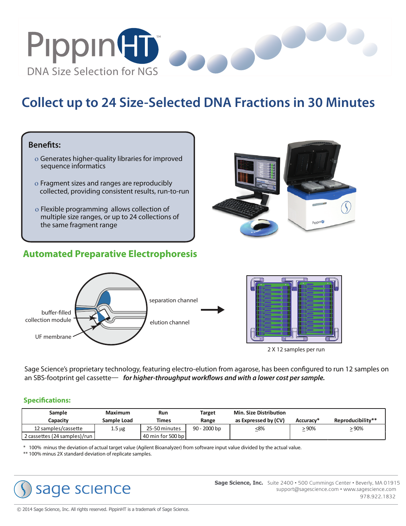

# **Collect up to 24 Size-Selected DNA Fractions in 30 Minutes**

# **Benefits:**

- ο Generates higher-quality libraries for improved sequence informatics
- ο Fragment sizes and ranges are reproducibly collected, providing consistent results, run-to-run
- ο Flexible programming allows collection of multiple size ranges, or up to 24 collections of the same fragment range

# Ī **Automated Preparative Electrophoresis**





Sage Science's proprietary technology, featuring electro-elution from agarose, has been configured to run 12 samples on an SBS-footprint gel cassette— for higher-throughput workflows and with a lower cost per sample.

#### **Specifications:**

| Sample<br>Capacity           | Maximum<br>Sample Load | Run<br>Times      | Target<br>Range | <b>Min. Size Distribution</b><br>as Expressed by (CV) | Accuracy* | Reproducibility** |
|------------------------------|------------------------|-------------------|-----------------|-------------------------------------------------------|-----------|-------------------|
| 12 samples/cassette          | $1.5 \mu g$            | 25-50 minutes     | $90 - 2000$ bp  | < 8%                                                  | .90%      | - 90%             |
| 2 cassettes (24 samples)/run |                        | 40 min for 500 bp |                 |                                                       |           |                   |

\* 100% minus the deviation of actual target value (Agilent Bioanalyzer) from software input value divided by the actual value.

\*\* 100% minus 2X standard deviation of replicate samples.



**Sage Science, Inc.** Suite 2400 • 500 Cummings Center • Beverly, MA 01915 support@sagescience.com • www.sagescience.com 978.922.1832

© 2014 Sage Science, Inc. All rights reserved. PippinHT is a trademark of Sage Science.